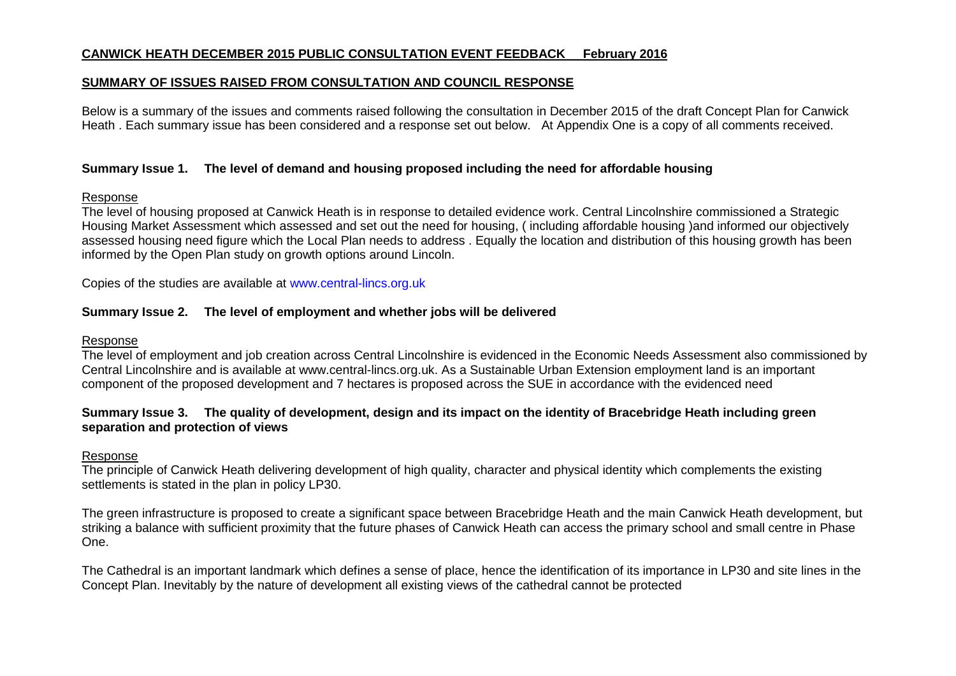#### **CANWICK HEATH DECEMBER 2015 PUBLIC CONSULTATION EVENT FEEDBACK February 2016**

#### **SUMMARY OF ISSUES RAISED FROM CONSULTATION AND COUNCIL RESPONSE**

Below is a summary of the issues and comments raised following the consultation in December 2015 of the draft Concept Plan for Canwick Heath . Each summary issue has been considered and a response set out below. At Appendix One is a copy of all comments received.

#### **Summary Issue 1. The level of demand and housing proposed including the need for affordable housing**

#### Response

The level of housing proposed at Canwick Heath is in response to detailed evidence work. Central Lincolnshire commissioned a Strategic Housing Market Assessment which assessed and set out the need for housing, ( including affordable housing )and informed our objectively assessed housing need figure which the Local Plan needs to address . Equally the location and distribution of this housing growth has been informed by the Open Plan study on growth options around Lincoln.

Copies of the studies are available at [www.central-lincs.org.uk](http://www.central-lincs.org.uk/)

### **Summary Issue 2. The level of employment and whether jobs will be delivered**

#### Response

The level of employment and job creation across Central Lincolnshire is evidenced in the Economic Needs Assessment also commissioned by Central Lincolnshire and is available at www.central-lincs.org.uk. As a Sustainable Urban Extension employment land is an important component of the proposed development and 7 hectares is proposed across the SUE in accordance with the evidenced need

#### **Summary Issue 3. The quality of development, design and its impact on the identity of Bracebridge Heath including green separation and protection of views**

#### Response

The principle of Canwick Heath delivering development of high quality, character and physical identity which complements the existing settlements is stated in the plan in policy LP30.

The green infrastructure is proposed to create a significant space between Bracebridge Heath and the main Canwick Heath development, but striking a balance with sufficient proximity that the future phases of Canwick Heath can access the primary school and small centre in Phase One.

The Cathedral is an important landmark which defines a sense of place, hence the identification of its importance in LP30 and site lines in the Concept Plan. Inevitably by the nature of development all existing views of the cathedral cannot be protected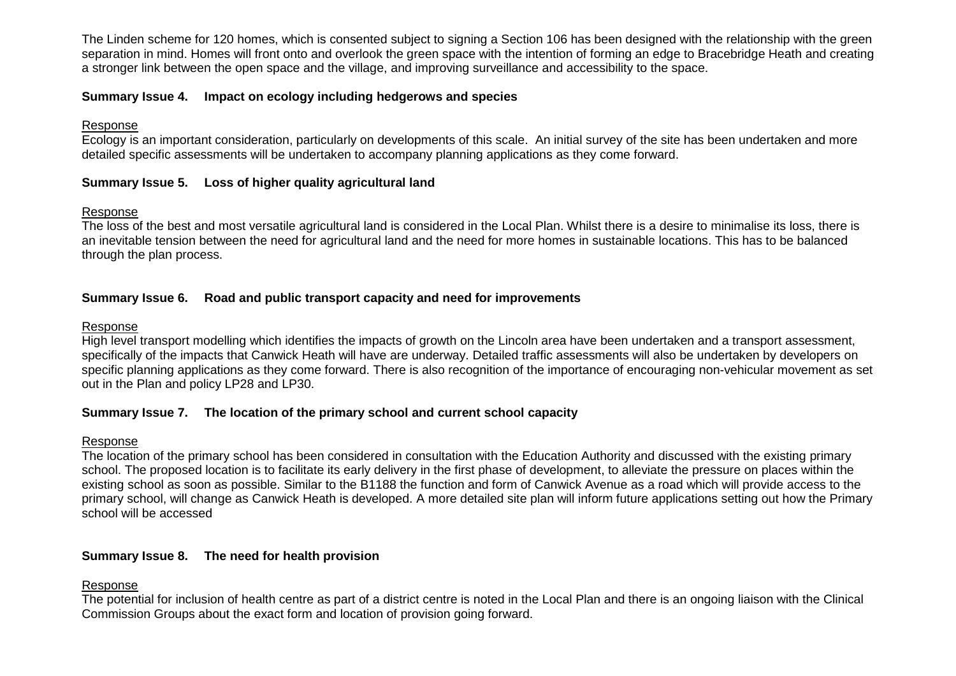The Linden scheme for 120 homes, which is consented subject to signing a Section 106 has been designed with the relationship with the green separation in mind. Homes will front onto and overlook the green space with the intention of forming an edge to Bracebridge Heath and creating a stronger link between the open space and the village, and improving surveillance and accessibility to the space.

### **Summary Issue 4. Impact on ecology including hedgerows and species**

#### Response

Ecology is an important consideration, particularly on developments of this scale. An initial survey of the site has been undertaken and more detailed specific assessments will be undertaken to accompany planning applications as they come forward.

### **Summary Issue 5. Loss of higher quality agricultural land**

#### Response

The loss of the best and most versatile agricultural land is considered in the Local Plan. Whilst there is a desire to minimalise its loss, there is an inevitable tension between the need for agricultural land and the need for more homes in sustainable locations. This has to be balanced through the plan process.

#### **Summary Issue 6. Road and public transport capacity and need for improvements**

#### Response

High level transport modelling which identifies the impacts of growth on the Lincoln area have been undertaken and a transport assessment, specifically of the impacts that Canwick Heath will have are underway. Detailed traffic assessments will also be undertaken by developers on specific planning applications as they come forward. There is also recognition of the importance of encouraging non-vehicular movement as set out in the Plan and policy LP28 and LP30.

### **Summary Issue 7. The location of the primary school and current school capacity**

#### Response

The location of the primary school has been considered in consultation with the Education Authority and discussed with the existing primary school. The proposed location is to facilitate its early delivery in the first phase of development, to alleviate the pressure on places within the existing school as soon as possible. Similar to the B1188 the function and form of Canwick Avenue as a road which will provide access to the primary school, will change as Canwick Heath is developed. A more detailed site plan will inform future applications setting out how the Primary school will be accessed

### **Summary Issue 8. The need for health provision**

#### Response

The potential for inclusion of health centre as part of a district centre is noted in the Local Plan and there is an ongoing liaison with the Clinical Commission Groups about the exact form and location of provision going forward.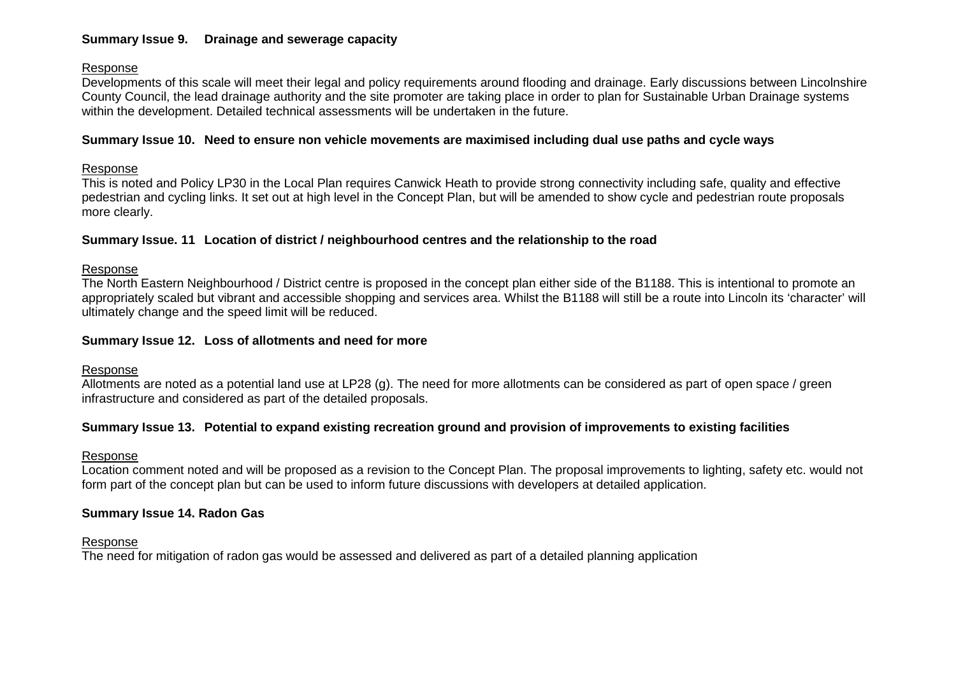## **Summary Issue 9. Drainage and sewerage capacity**

### Response

Developments of this scale will meet their legal and policy requirements around flooding and drainage. Early discussions between Lincolnshire County Council, the lead drainage authority and the site promoter are taking place in order to plan for Sustainable Urban Drainage systems within the development. Detailed technical assessments will be undertaken in the future.

### **Summary Issue 10. Need to ensure non vehicle movements are maximised including dual use paths and cycle ways**

### Response

This is noted and Policy LP30 in the Local Plan requires Canwick Heath to provide strong connectivity including safe, quality and effective pedestrian and cycling links. It set out at high level in the Concept Plan, but will be amended to show cycle and pedestrian route proposals more clearly.

### **Summary Issue. 11 Location of district / neighbourhood centres and the relationship to the road**

### Response

The North Eastern Neighbourhood / District centre is proposed in the concept plan either side of the B1188. This is intentional to promote an appropriately scaled but vibrant and accessible shopping and services area. Whilst the B1188 will still be a route into Lincoln its 'character' will ultimately change and the speed limit will be reduced.

### **Summary Issue 12. Loss of allotments and need for more**

### Response

Allotments are noted as a potential land use at LP28 (g). The need for more allotments can be considered as part of open space / green infrastructure and considered as part of the detailed proposals.

### **Summary Issue 13. Potential to expand existing recreation ground and provision of improvements to existing facilities**

### Response

Location comment noted and will be proposed as a revision to the Concept Plan. The proposal improvements to lighting, safety etc. would not form part of the concept plan but can be used to inform future discussions with developers at detailed application.

### **Summary Issue 14. Radon Gas**

### Response

The need for mitigation of radon gas would be assessed and delivered as part of a detailed planning application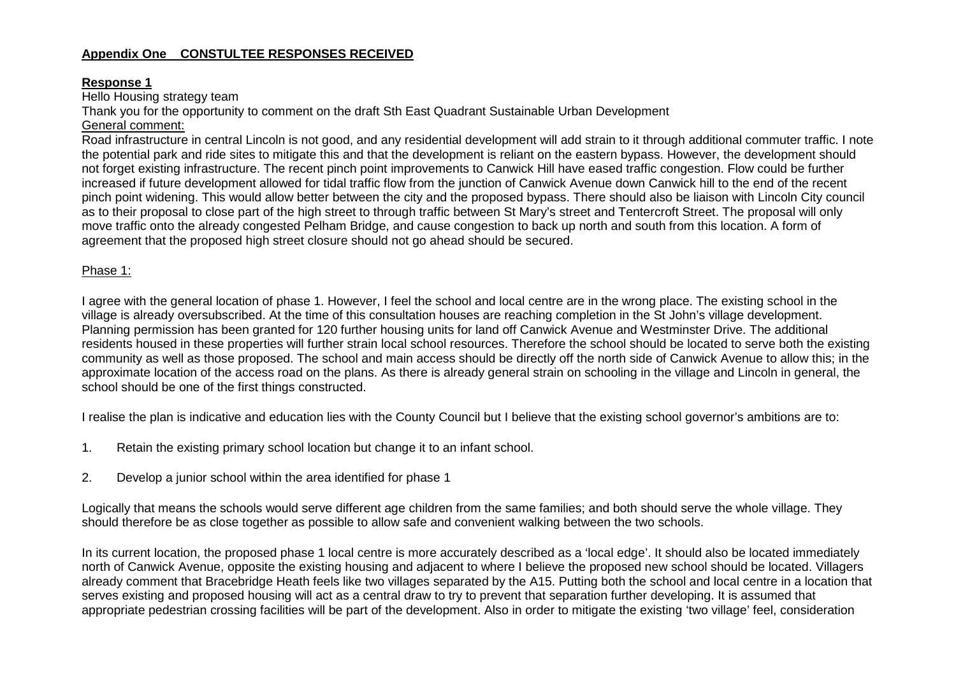# **Appendix One CONSTULTEE RESPONSES RECEIVED**

#### **Response 1**

Hello Housing strategy team

Thank you for the opportunity to comment on the draft Sth East Quadrant Sustainable Urban Development

# General comment:

Road infrastructure in central Lincoln is not good, and any residential development will add strain to it through additional commuter traffic. I note the potential park and ride sites to mitigate this and that the development is reliant on the eastern bypass. However, the development should not forget existing infrastructure. The recent pinch point improvements to Canwick Hill have eased traffic congestion. Flow could be further increased if future development allowed for tidal traffic flow from the junction of Canwick Avenue down Canwick hill to the end of the recent pinch point widening. This would allow better between the city and the proposed bypass. There should also be liaison with Lincoln City council as to their proposal to close part of the high street to through traffic between St Mary's street and Tentercroft Street. The proposal will only move traffic onto the already congested Pelham Bridge, and cause congestion to back up north and south from this location. A form of agreement that the proposed high street closure should not go ahead should be secured.

### Phase 1:

I agree with the general location of phase 1. However, I feel the school and local centre are in the wrong place. The existing school in the village is already oversubscribed. At the time of this consultation houses are reaching completion in the St John's village development. Planning permission has been granted for 120 further housing units for land off Canwick Avenue and Westminster Drive. The additional residents housed in these properties will further strain local school resources. Therefore the school should be located to serve both the existing community as well as those proposed. The school and main access should be directly off the north side of Canwick Avenue to allow this; in the approximate location of the access road on the plans. As there is already general strain on schooling in the village and Lincoln in general, the school should be one of the first things constructed.

I realise the plan is indicative and education lies with the County Council but I believe that the existing school governor's ambitions are to:

- 1. Retain the existing primary school location but change it to an infant school.
- 2. Develop a junior school within the area identified for phase 1

Logically that means the schools would serve different age children from the same families; and both should serve the whole village. They should therefore be as close together as possible to allow safe and convenient walking between the two schools.

In its current location, the proposed phase 1 local centre is more accurately described as a 'local edge'. It should also be located immediately north of Canwick Avenue, opposite the existing housing and adjacent to where I believe the proposed new school should be located. Villagers already comment that Bracebridge Heath feels like two villages separated by the A15. Putting both the school and local centre in a location that serves existing and proposed housing will act as a central draw to try to prevent that separation further developing. It is assumed that appropriate pedestrian crossing facilities will be part of the development. Also in order to mitigate the existing 'two village' feel, consideration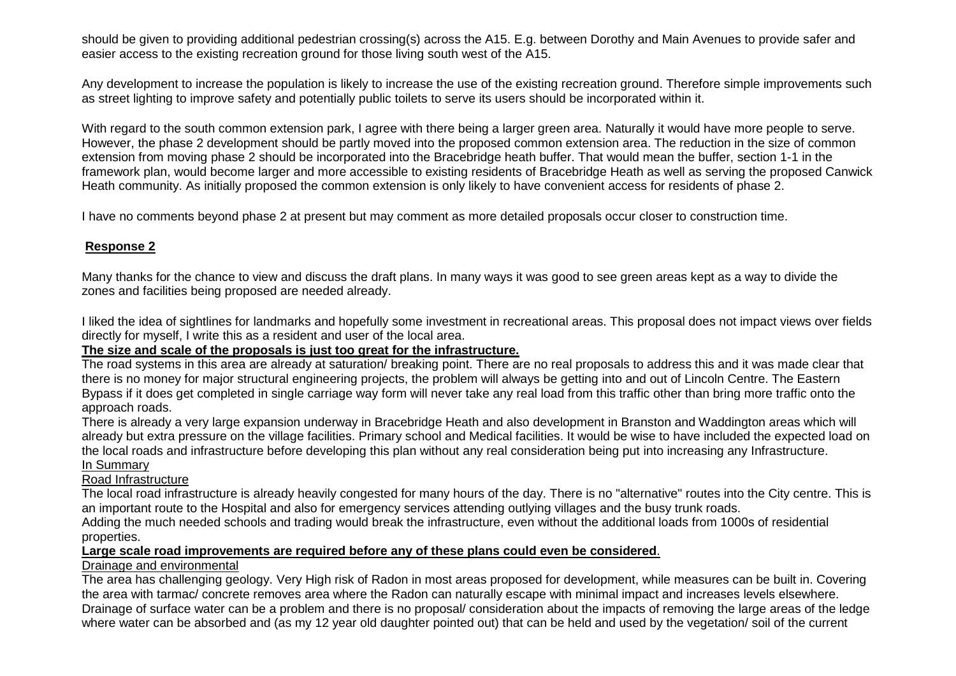should be given to providing additional pedestrian crossing(s) across the A15. E.g. between Dorothy and Main Avenues to provide safer and easier access to the existing recreation ground for those living south west of the A15.

Any development to increase the population is likely to increase the use of the existing recreation ground. Therefore simple improvements such as street lighting to improve safety and potentially public toilets to serve its users should be incorporated within it.

With regard to the south common extension park, I agree with there being a larger green area. Naturally it would have more people to serve. However, the phase 2 development should be partly moved into the proposed common extension area. The reduction in the size of common extension from moving phase 2 should be incorporated into the Bracebridge heath buffer. That would mean the buffer, section 1-1 in the framework plan, would become larger and more accessible to existing residents of Bracebridge Heath as well as serving the proposed Canwick Heath community. As initially proposed the common extension is only likely to have convenient access for residents of phase 2.

I have no comments beyond phase 2 at present but may comment as more detailed proposals occur closer to construction time.

### **Response 2**

Many thanks for the chance to view and discuss the draft plans. In many ways it was good to see green areas kept as a way to divide the zones and facilities being proposed are needed already.

I liked the idea of sightlines for landmarks and hopefully some investment in recreational areas. This proposal does not impact views over fields directly for myself, I write this as a resident and user of the local area.

### **The size and scale of the proposals is just too great for the infrastructure.**

The road systems in this area are already at saturation/ breaking point. There are no real proposals to address this and it was made clear that there is no money for major structural engineering projects, the problem will always be getting into and out of Lincoln Centre. The Eastern Bypass if it does get completed in single carriage way form will never take any real load from this traffic other than bring more traffic onto the approach roads.

There is already a very large expansion underway in Bracebridge Heath and also development in Branston and Waddington areas which will already but extra pressure on the village facilities. Primary school and Medical facilities. It would be wise to have included the expected load on the local roads and infrastructure before developing this plan without any real consideration being put into increasing any Infrastructure. In Summary

### Road Infrastructure

The local road infrastructure is already heavily congested for many hours of the day. There is no "alternative" routes into the City centre. This is an important route to the Hospital and also for emergency services attending outlying villages and the busy trunk roads.

Adding the much needed schools and trading would break the infrastructure, even without the additional loads from 1000s of residential properties.

### **Large scale road improvements are required before any of these plans could even be considered**.

### Drainage and environmental

The area has challenging geology. Very High risk of Radon in most areas proposed for development, while measures can be built in. Covering the area with tarmac/ concrete removes area where the Radon can naturally escape with minimal impact and increases levels elsewhere. Drainage of surface water can be a problem and there is no proposal/ consideration about the impacts of removing the large areas of the ledge where water can be absorbed and (as my 12 year old daughter pointed out) that can be held and used by the vegetation/ soil of the current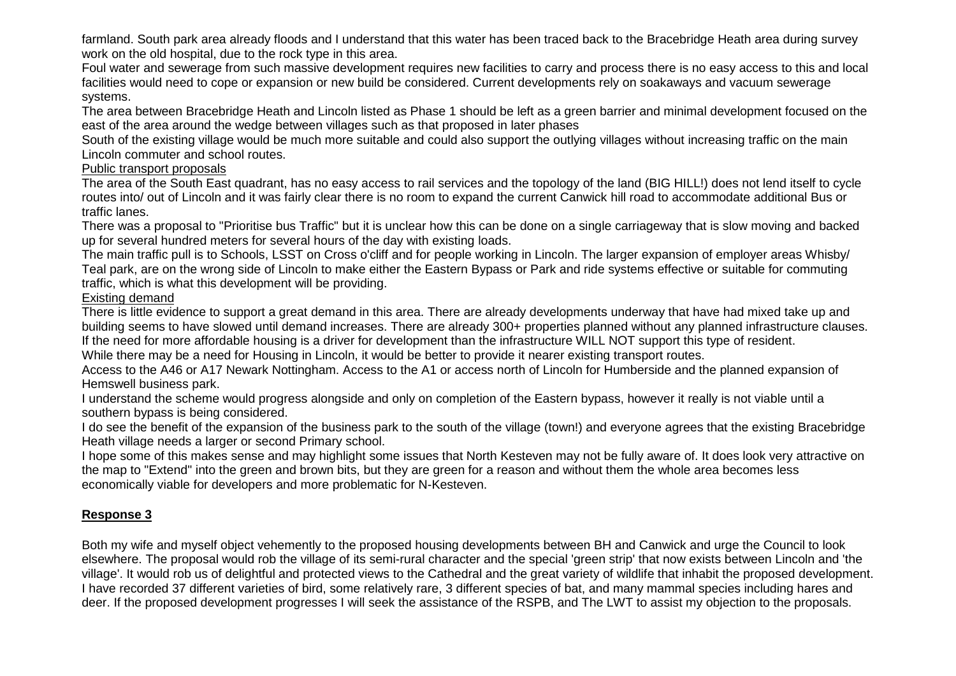farmland. South park area already floods and I understand that this water has been traced back to the Bracebridge Heath area during survey work on the old hospital, due to the rock type in this area.

Foul water and sewerage from such massive development requires new facilities to carry and process there is no easy access to this and local facilities would need to cope or expansion or new build be considered. Current developments rely on soakaways and vacuum sewerage systems.

The area between Bracebridge Heath and Lincoln listed as Phase 1 should be left as a green barrier and minimal development focused on the east of the area around the wedge between villages such as that proposed in later phases

South of the existing village would be much more suitable and could also support the outlying villages without increasing traffic on the main Lincoln commuter and school routes.

### Public transport proposals

The area of the South East quadrant, has no easy access to rail services and the topology of the land (BIG HILL!) does not lend itself to cycle routes into/ out of Lincoln and it was fairly clear there is no room to expand the current Canwick hill road to accommodate additional Bus or traffic lanes.

There was a proposal to "Prioritise bus Traffic" but it is unclear how this can be done on a single carriageway that is slow moving and backed up for several hundred meters for several hours of the day with existing loads.

The main traffic pull is to Schools, LSST on Cross o'cliff and for people working in Lincoln. The larger expansion of employer areas Whisby/ Teal park, are on the wrong side of Lincoln to make either the Eastern Bypass or Park and ride systems effective or suitable for commuting traffic, which is what this development will be providing.

### Existing demand

There is little evidence to support a great demand in this area. There are already developments underway that have had mixed take up and building seems to have slowed until demand increases. There are already 300+ properties planned without any planned infrastructure clauses. If the need for more affordable housing is a driver for development than the infrastructure WILL NOT support this type of resident.

While there may be a need for Housing in Lincoln, it would be better to provide it nearer existing transport routes.

Access to the A46 or A17 Newark Nottingham. Access to the A1 or access north of Lincoln for Humberside and the planned expansion of Hemswell business park.

I understand the scheme would progress alongside and only on completion of the Eastern bypass, however it really is not viable until a southern bypass is being considered.

I do see the benefit of the expansion of the business park to the south of the village (town!) and everyone agrees that the existing Bracebridge Heath village needs a larger or second Primary school.

I hope some of this makes sense and may highlight some issues that North Kesteven may not be fully aware of. It does look very attractive on the map to "Extend" into the green and brown bits, but they are green for a reason and without them the whole area becomes less economically viable for developers and more problematic for N-Kesteven.

# **Response 3**

Both my wife and myself object vehemently to the proposed housing developments between BH and Canwick and urge the Council to look elsewhere. The proposal would rob the village of its semi-rural character and the special 'green strip' that now exists between Lincoln and 'the village'. It would rob us of delightful and protected views to the Cathedral and the great variety of wildlife that inhabit the proposed development. I have recorded 37 different varieties of bird, some relatively rare, 3 different species of bat, and many mammal species including hares and deer. If the proposed development progresses I will seek the assistance of the RSPB, and The LWT to assist my objection to the proposals.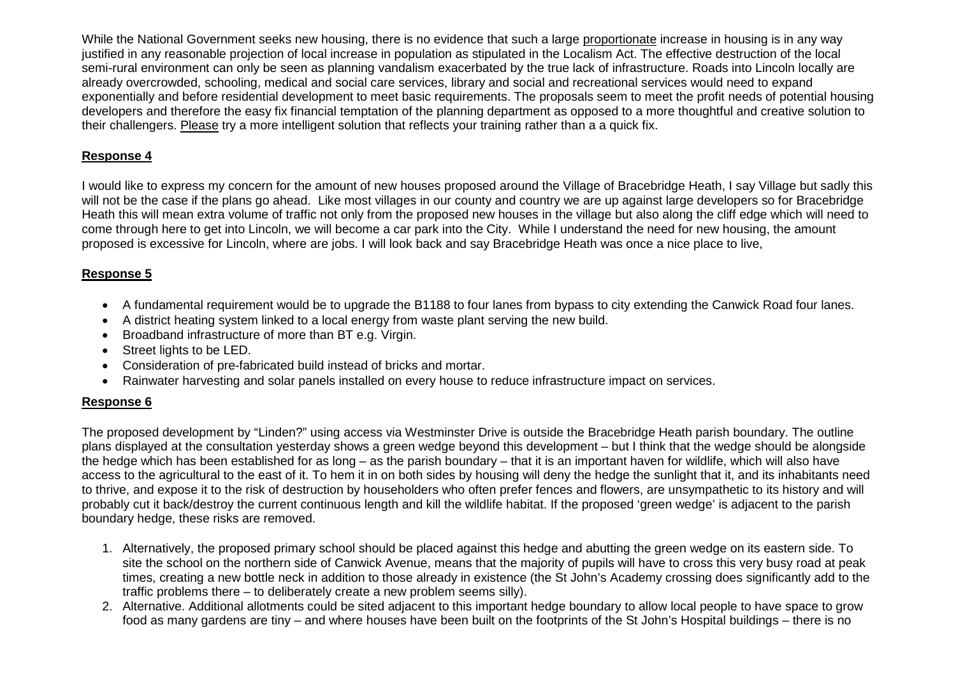While the National Government seeks new housing, there is no evidence that such a large proportionate increase in housing is in any way justified in any reasonable projection of local increase in population as stipulated in the Localism Act. The effective destruction of the local semi-rural environment can only be seen as planning vandalism exacerbated by the true lack of infrastructure. Roads into Lincoln locally are already overcrowded, schooling, medical and social care services, library and social and recreational services would need to expand exponentially and before residential development to meet basic requirements. The proposals seem to meet the profit needs of potential housing developers and therefore the easy fix financial temptation of the planning department as opposed to a more thoughtful and creative solution to their challengers. Please try a more intelligent solution that reflects your training rather than a a quick fix.

# **Response 4**

I would like to express my concern for the amount of new houses proposed around the Village of Bracebridge Heath, I say Village but sadly this will not be the case if the plans go ahead. Like most villages in our county and country we are up against large developers so for Bracebridge Heath this will mean extra volume of traffic not only from the proposed new houses in the village but also along the cliff edge which will need to come through here to get into Lincoln, we will become a car park into the City. While I understand the need for new housing, the amount proposed is excessive for Lincoln, where are jobs. I will look back and say Bracebridge Heath was once a nice place to live,

# **Response 5**

- A fundamental requirement would be to upgrade the B1188 to four lanes from bypass to city extending the Canwick Road four lanes.
- A district heating system linked to a local energy from waste plant serving the new build.
- Broadband infrastructure of more than BT e.g. Virgin.
- Street lights to be LED.
- Consideration of pre-fabricated build instead of bricks and mortar.
- Rainwater harvesting and solar panels installed on every house to reduce infrastructure impact on services.

# **Response 6**

The proposed development by "Linden?" using access via Westminster Drive is outside the Bracebridge Heath parish boundary. The outline plans displayed at the consultation yesterday shows a green wedge beyond this development – but I think that the wedge should be alongside the hedge which has been established for as long – as the parish boundary – that it is an important haven for wildlife, which will also have access to the agricultural to the east of it. To hem it in on both sides by housing will deny the hedge the sunlight that it, and its inhabitants need to thrive, and expose it to the risk of destruction by householders who often prefer fences and flowers, are unsympathetic to its history and will probably cut it back/destroy the current continuous length and kill the wildlife habitat. If the proposed 'green wedge' is adjacent to the parish boundary hedge, these risks are removed.

- 1. Alternatively, the proposed primary school should be placed against this hedge and abutting the green wedge on its eastern side. To site the school on the northern side of Canwick Avenue, means that the majority of pupils will have to cross this very busy road at peak times, creating a new bottle neck in addition to those already in existence (the St John's Academy crossing does significantly add to the traffic problems there – to deliberately create a new problem seems silly).
- 2. Alternative. Additional allotments could be sited adjacent to this important hedge boundary to allow local people to have space to grow food as many gardens are tiny – and where houses have been built on the footprints of the St John's Hospital buildings – there is no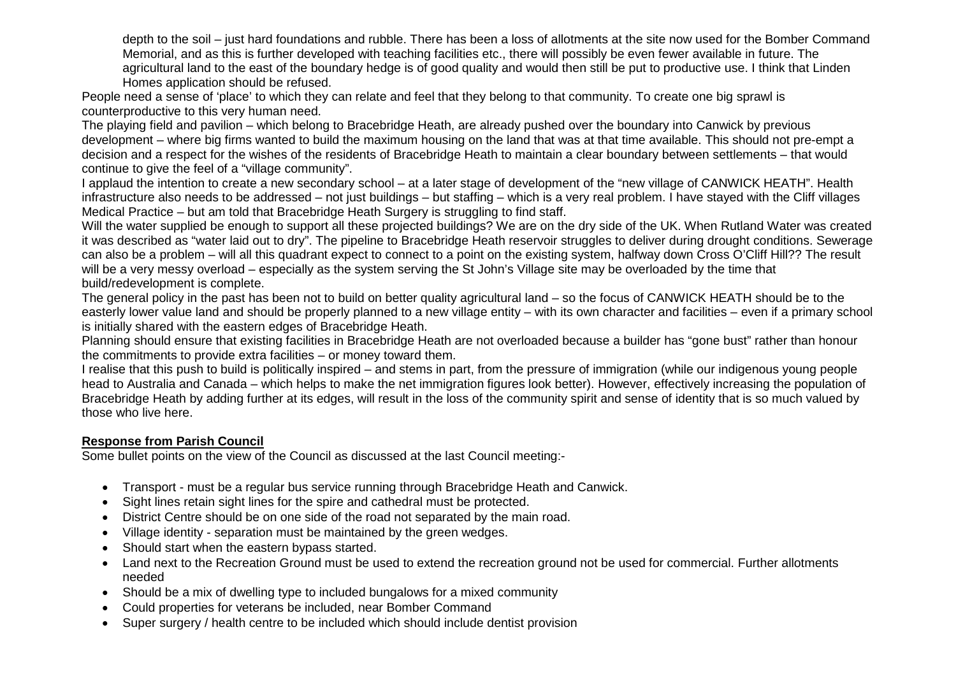depth to the soil – just hard foundations and rubble. There has been a loss of allotments at the site now used for the Bomber Command Memorial, and as this is further developed with teaching facilities etc., there will possibly be even fewer available in future. The agricultural land to the east of the boundary hedge is of good quality and would then still be put to productive use. I think that Linden Homes application should be refused.

People need a sense of 'place' to which they can relate and feel that they belong to that community. To create one big sprawl is counterproductive to this very human need.

The playing field and pavilion – which belong to Bracebridge Heath, are already pushed over the boundary into Canwick by previous development – where big firms wanted to build the maximum housing on the land that was at that time available. This should not pre-empt a decision and a respect for the wishes of the residents of Bracebridge Heath to maintain a clear boundary between settlements – that would continue to give the feel of a "village community".

I applaud the intention to create a new secondary school – at a later stage of development of the "new village of CANWICK HEATH". Health infrastructure also needs to be addressed – not just buildings – but staffing – which is a very real problem. I have stayed with the Cliff villages Medical Practice – but am told that Bracebridge Heath Surgery is struggling to find staff.

Will the water supplied be enough to support all these projected buildings? We are on the dry side of the UK. When Rutland Water was created it was described as "water laid out to dry". The pipeline to Bracebridge Heath reservoir struggles to deliver during drought conditions. Sewerage can also be a problem – will all this quadrant expect to connect to a point on the existing system, halfway down Cross O'Cliff Hill?? The result will be a very messy overload – especially as the system serving the St John's Village site may be overloaded by the time that build/redevelopment is complete.

The general policy in the past has been not to build on better quality agricultural land – so the focus of CANWICK HEATH should be to the easterly lower value land and should be properly planned to a new village entity – with its own character and facilities – even if a primary school is initially shared with the eastern edges of Bracebridge Heath.

Planning should ensure that existing facilities in Bracebridge Heath are not overloaded because a builder has "gone bust" rather than honour the commitments to provide extra facilities – or money toward them.

I realise that this push to build is politically inspired – and stems in part, from the pressure of immigration (while our indigenous young people head to Australia and Canada – which helps to make the net immigration figures look better). However, effectively increasing the population of Bracebridge Heath by adding further at its edges, will result in the loss of the community spirit and sense of identity that is so much valued by those who live here.

### **Response from Parish Council**

Some bullet points on the view of the Council as discussed at the last Council meeting:-

- Transport must be a regular bus service running through Bracebridge Heath and Canwick.
- Sight lines retain sight lines for the spire and cathedral must be protected.
- District Centre should be on one side of the road not separated by the main road.
- Village identity separation must be maintained by the green wedges.
- Should start when the eastern bypass started.
- Land next to the Recreation Ground must be used to extend the recreation ground not be used for commercial. Further allotments needed
- Should be a mix of dwelling type to included bungalows for a mixed community
- Could properties for veterans be included, near Bomber Command
- Super surgery / health centre to be included which should include dentist provision